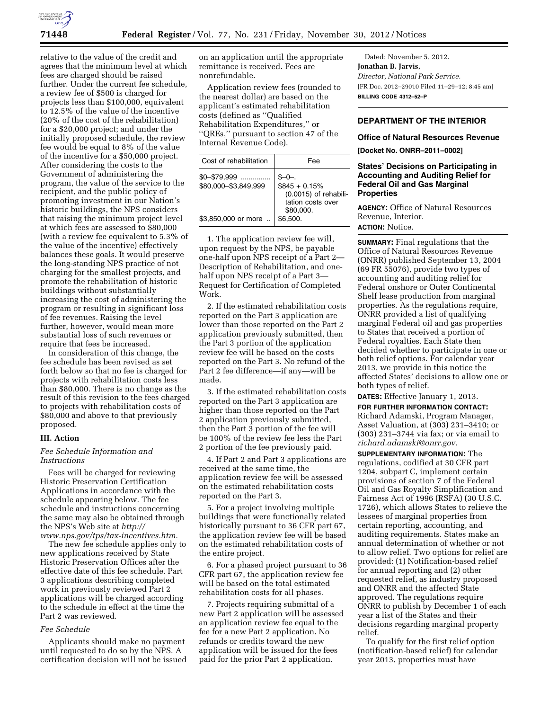

relative to the value of the credit and agrees that the minimum level at which fees are charged should be raised further. Under the current fee schedule, a review fee of \$500 is charged for projects less than \$100,000, equivalent to 12.5% of the value of the incentive (20% of the cost of the rehabilitation) for a \$20,000 project; and under the initially proposed schedule, the review fee would be equal to 8% of the value of the incentive for a \$50,000 project. After considering the costs to the Government of administering the program, the value of the service to the recipient, and the public policy of promoting investment in our Nation's historic buildings, the NPS considers that raising the minimum project level at which fees are assessed to \$80,000 (with a review fee equivalent to 5.3% of the value of the incentive) effectively balances these goals. It would preserve the long-standing NPS practice of not charging for the smallest projects, and promote the rehabilitation of historic buildings without substantially increasing the cost of administering the program or resulting in significant loss of fee revenues. Raising the level further, however, would mean more substantial loss of such revenues or require that fees be increased.

In consideration of this change, the fee schedule has been revised as set forth below so that no fee is charged for projects with rehabilitation costs less than \$80,000. There is no change as the result of this revision to the fees charged to projects with rehabilitation costs of \$80,000 and above to that previously proposed.

#### **III. Action**

### *Fee Schedule Information and Instructions*

Fees will be charged for reviewing Historic Preservation Certification Applications in accordance with the schedule appearing below. The fee schedule and instructions concerning the same may also be obtained through the NPS's Web site at *[http://](http://www.nps.gov/tps/tax-incentives.htm)  [www.nps.gov/tps/tax-incentives.htm.](http://www.nps.gov/tps/tax-incentives.htm)* 

The new fee schedule applies only to new applications received by State Historic Preservation Offices after the effective date of this fee schedule. Part 3 applications describing completed work in previously reviewed Part 2 applications will be charged according to the schedule in effect at the time the Part 2 was reviewed.

#### *Fee Schedule*

Applicants should make no payment until requested to do so by the NPS. A certification decision will not be issued on an application until the appropriate remittance is received. Fees are nonrefundable.

Application review fees (rounded to the nearest dollar) are based on the applicant's estimated rehabilitation costs (defined as ''Qualified Rehabilitation Expenditures,'' or ''QREs,'' pursuant to section 47 of the Internal Revenue Code).

| Fee                                                                                                   |
|-------------------------------------------------------------------------------------------------------|
| $S - 0 -$<br>$$845 + 0.15\%$<br>$(0.0015)$ of rehabili-<br>tation costs over<br>\$80,000.<br>\$6.500. |
|                                                                                                       |

1. The application review fee will, upon request by the NPS, be payable one-half upon NPS receipt of a Part 2— Description of Rehabilitation, and onehalf upon NPS receipt of a Part 3— Request for Certification of Completed Work.

2. If the estimated rehabilitation costs reported on the Part 3 application are lower than those reported on the Part 2 application previously submitted, then the Part 3 portion of the application review fee will be based on the costs reported on the Part 3. No refund of the Part 2 fee difference—if any—will be made.

3. If the estimated rehabilitation costs reported on the Part 3 application are higher than those reported on the Part 2 application previously submitted, then the Part 3 portion of the fee will be 100% of the review fee less the Part 2 portion of the fee previously paid.

4. If Part 2 and Part 3 applications are received at the same time, the application review fee will be assessed on the estimated rehabilitation costs reported on the Part 3.

5. For a project involving multiple buildings that were functionally related historically pursuant to 36 CFR part 67, the application review fee will be based on the estimated rehabilitation costs of the entire project.

6. For a phased project pursuant to 36 CFR part 67, the application review fee will be based on the total estimated rehabilitation costs for all phases.

7. Projects requiring submittal of a new Part 2 application will be assessed an application review fee equal to the fee for a new Part 2 application. No refunds or credits toward the new application will be issued for the fees paid for the prior Part 2 application.

Dated: November 5, 2012. **Jonathan B. Jarvis,**  *Director, National Park Service.*  [FR Doc. 2012–29010 Filed 11–29–12; 8:45 am] **BILLING CODE 4312–52–P** 

# **DEPARTMENT OF THE INTERIOR**

# **Office of Natural Resources Revenue**

**[Docket No. ONRR–2011–0002]** 

## **States' Decisions on Participating in Accounting and Auditing Relief for Federal Oil and Gas Marginal Properties**

**AGENCY:** Office of Natural Resources Revenue, Interior.

# **ACTION:** Notice.

**SUMMARY:** Final regulations that the Office of Natural Resources Revenue (ONRR) published September 13, 2004 (69 FR 55076), provide two types of accounting and auditing relief for Federal onshore or Outer Continental Shelf lease production from marginal properties. As the regulations require, ONRR provided a list of qualifying marginal Federal oil and gas properties to States that received a portion of Federal royalties. Each State then decided whether to participate in one or both relief options. For calendar year 2013, we provide in this notice the affected States' decisions to allow one or both types of relief.

**DATES:** Effective January 1, 2013.

**FOR FURTHER INFORMATION CONTACT:**  Richard Adamski, Program Manager, Asset Valuation, at (303) 231–3410; or (303) 231–3744 via fax; or via email to *[richard.adamski@onrr.gov.](mailto:richard.adamski@onrr.gov)* 

**SUPPLEMENTARY INFORMATION:** The regulations, codified at 30 CFR part 1204, subpart C, implement certain provisions of section 7 of the Federal Oil and Gas Royalty Simplification and Fairness Act of 1996 (RSFA) (30 U.S.C. 1726), which allows States to relieve the lessees of marginal properties from certain reporting, accounting, and auditing requirements. States make an annual determination of whether or not to allow relief. Two options for relief are provided: (1) Notification-based relief for annual reporting and (2) other requested relief, as industry proposed and ONRR and the affected State approved. The regulations require ONRR to publish by December 1 of each year a list of the States and their decisions regarding marginal property relief.

To qualify for the first relief option (notification-based relief) for calendar year 2013, properties must have